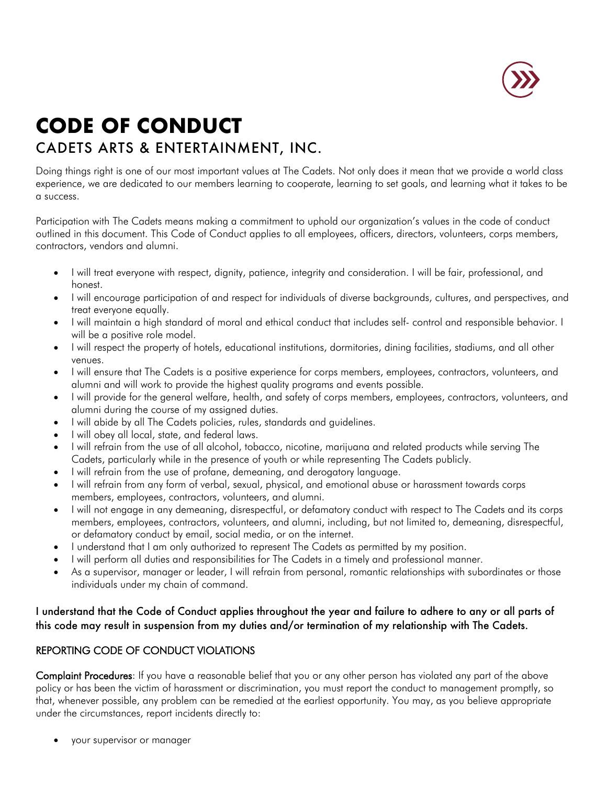

## **CODE OF CONDUCT** CADETS ARTS & ENTERTAINMENT, INC.

Doing things right is one of our most important values at The Cadets. Not only does it mean that we provide a world class experience, we are dedicated to our members learning to cooperate, learning to set goals, and learning what it takes to be a success.

Participation with The Cadets means making a commitment to uphold our organization's values in the code of conduct outlined in this document. This Code of Conduct applies to all employees, officers, directors, volunteers, corps members, contractors, vendors and alumni.

- I will treat everyone with respect, dignity, patience, integrity and consideration. I will be fair, professional, and honest.
- I will encourage participation of and respect for individuals of diverse backgrounds, cultures, and perspectives, and treat everyone equally.
- I will maintain a high standard of moral and ethical conduct that includes self- control and responsible behavior. I will be a positive role model.
- I will respect the property of hotels, educational institutions, dormitories, dining facilities, stadiums, and all other venues.
- I will ensure that The Cadets is a positive experience for corps members, employees, contractors, volunteers, and alumni and will work to provide the highest quality programs and events possible.
- I will provide for the general welfare, health, and safety of corps members, employees, contractors, volunteers, and alumni during the course of my assigned duties.
- I will abide by all The Cadets policies, rules, standards and guidelines.
- I will obey all local, state, and federal laws.
- I will refrain from the use of all alcohol, tobacco, nicotine, marijuana and related products while serving The Cadets, particularly while in the presence of youth or while representing The Cadets publicly.
- I will refrain from the use of profane, demeaning, and derogatory language.
- I will refrain from any form of verbal, sexual, physical, and emotional abuse or harassment towards corps members, employees, contractors, volunteers, and alumni.
- I will not engage in any demeaning, disrespectful, or defamatory conduct with respect to The Cadets and its corps members, employees, contractors, volunteers, and alumni, including, but not limited to, demeaning, disrespectful, or defamatory conduct by email, social media, or on the internet.
- I understand that I am only authorized to represent The Cadets as permitted by my position.
- I will perform all duties and responsibilities for The Cadets in a timely and professional manner.
- As a supervisor, manager or leader, I will refrain from personal, romantic relationships with subordinates or those individuals under my chain of command.

## I understand that the Code of Conduct applies throughout the year and failure to adhere to any or all parts of this code may result in suspension from my duties and/or termination of my relationship with The Cadets.

## REPORTING CODE OF CONDUCT VIOLATIONS

Complaint Procedures: If you have a reasonable belief that you or any other person has violated any part of the above policy or has been the victim of harassment or discrimination, you must report the conduct to management promptly, so that, whenever possible, any problem can be remedied at the earliest opportunity. You may, as you believe appropriate under the circumstances, report incidents directly to:

• your supervisor or manager